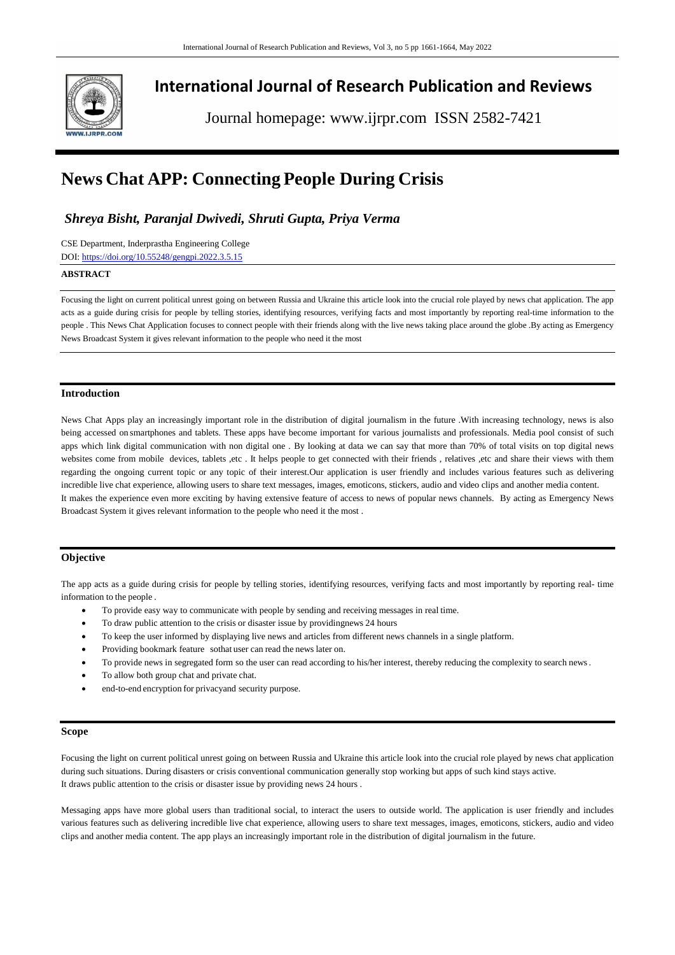

## **International Journal of Research Publication and Reviews**

Journal homepage: www.ijrpr.com ISSN 2582-7421

# **News Chat APP: Connecting People During Crisis**

## *Shreya Bisht, Paranjal Dwivedi, Shruti Gupta, Priya Verma*

CSE Department, Inderprastha Engineering College

DOI: <https://doi.org/10.55248/gengpi.2022.3.5.15>

#### **ABSTRACT**

Focusing the light on current political unrest going on between Russia and Ukraine this article look into the crucial role played by news chat application. The app acts as a guide during crisis for people by telling stories, identifying resources, verifying facts and most importantly by reporting real-time information to the people . This News Chat Application focuses to connect people with their friends along with the live news taking place around the globe .By acting as Emergency News Broadcast System it gives relevant information to the people who need it the most

### **Introduction**

News Chat Apps play an increasingly important role in the distribution of digital journalism in the future .With increasing technology, news is also being accessed on smartphones and tablets. These apps have become important for various journalists and professionals. Media pool consist of such apps which link digital communication with non digital one . By looking at data we can say that more than 70% of total visits on top digital news websites come from mobile devices, tablets ,etc . It helps people to get connected with their friends , relatives ,etc and share their views with them regarding the ongoing current topic or any topic of their interest.Our application is user friendly and includes various features such as delivering incredible live chat experience, allowing users to share text messages, images, emoticons, stickers, audio and video clips and another media content. It makes the experience even more exciting by having extensive feature of access to news of popular news channels. By acting as Emergency News Broadcast System it gives relevant information to the people who need it the most .

### **Objective**

The app acts as a guide during crisis for people by telling stories, identifying resources, verifying facts and most importantly by reporting real- time information to the people .

- To provide easy way to communicate with people by sending and receiving messages in real time.
- To draw public attention to the crisis or disaster issue by providingnews 24 hours
- To keep the user informed by displaying live news and articles from different news channels in a single platform.
- Providing bookmark feature sothat user can read the news later on.
- To provide news in segregated form so the user can read according to his/her interest, thereby reducing the complexity to search news.
- To allow both group chat and private chat.
- end-to-end encryption for privacyand security purpose.

#### **Scope**

Focusing the light on current political unrest going on between Russia and Ukraine this article look into the crucial role played by news chat application during such situations. During disasters or crisis conventional communication generally stop working but apps of such kind stays active. It draws public attention to the crisis or disaster issue by providing news 24 hours .

Messaging apps have more global users than traditional social, to interact the users to outside world. The application is user friendly and includes various features such as delivering incredible live chat experience, allowing users to share text messages, images, emoticons, stickers, audio and video clips and another media content. The app plays an increasingly important role in the distribution of digital journalism in the future.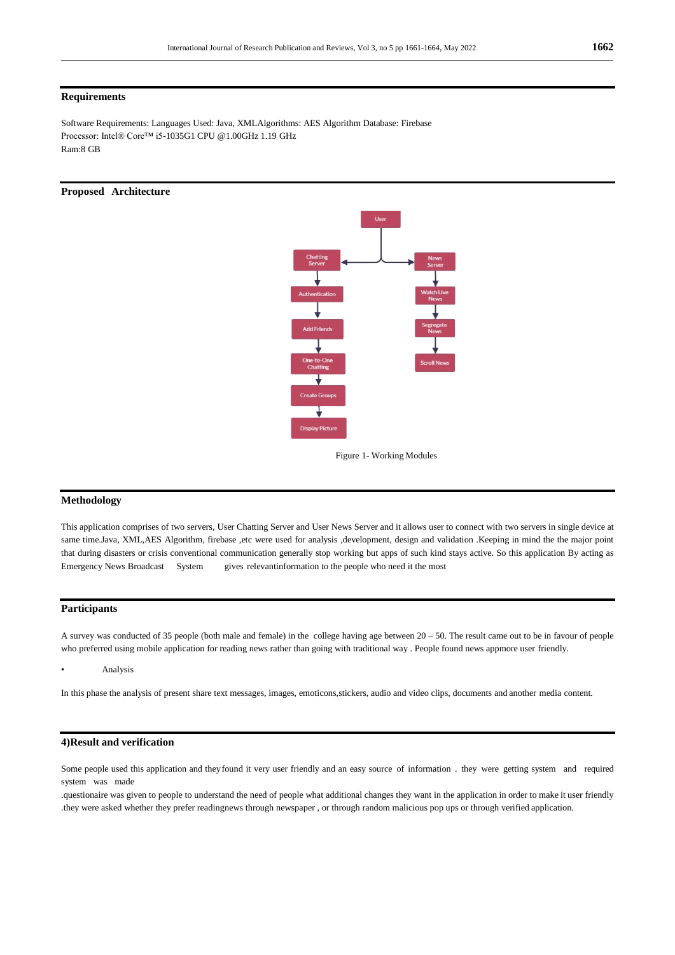#### **Requirements**

Software Requirements: Languages Used: Java, XMLAlgorithms: AES Algorithm Database: Firebase Processor: Intel® Core™ i5-1035G1 CPU @1.00GHz 1.19 GHz Ram:8 GB

## **Proposed Architecture**



Figure 1- Working Modules

#### **Methodology**

This application comprises of two servers, User Chatting Server and User News Server and it allows user to connect with two servers in single device at same time.Java, XML,AES Algorithm, firebase ,etc were used for analysis ,development, design and validation .Keeping in mind the the major point that during disasters or crisis conventional communication generally stop working but apps of such kind stays active. So this application By acting as Emergency News Broadcast System gives relevantinformation to the people who need it the most

### **Participants**

A survey was conducted of 35 people (both male and female) in the college having age between  $20 - 50$ . The result came out to be in favour of people who preferred using mobile application for reading news rather than going with traditional way . People found news appmore user friendly.

• Analysis

In this phase the analysis of present share text messages, images, emoticons,stickers, audio and video clips, documents and another media content.

## **4)Result and verification**

Some people used this application and theyfound it very user friendly and an easy source of information . they were getting system and required system was made

.questionaire was given to people to understand the need of people what additional changes they want in the application in order to make it user friendly .they were asked whether they prefer readingnews through newspaper , or through random malicious pop ups or through verified application.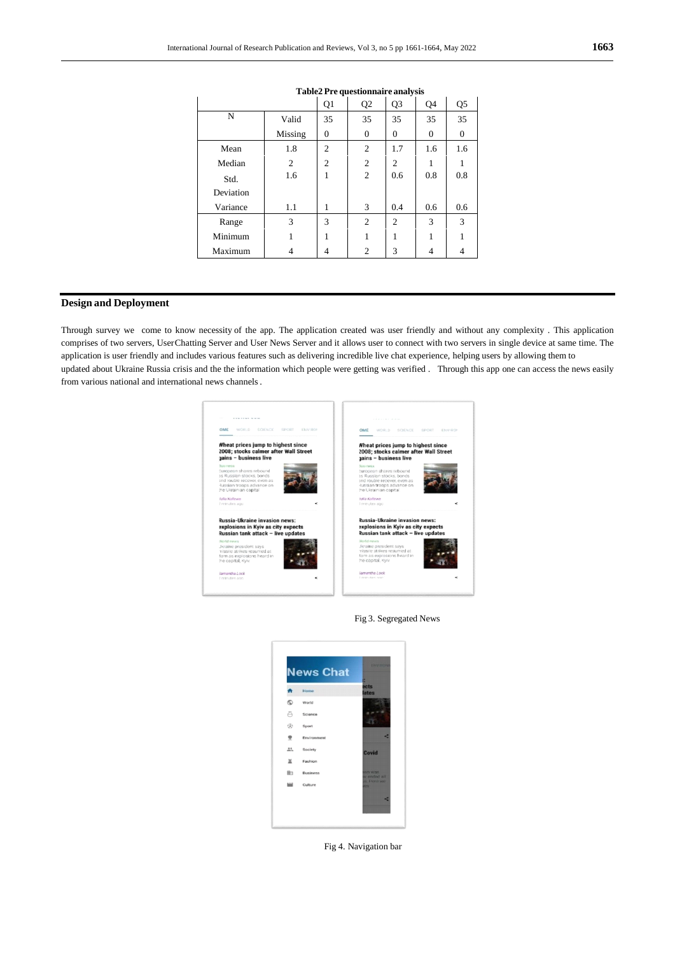|           | 1 aprel 1 t questionnan e anarysis |                |                |                |          |          |  |
|-----------|------------------------------------|----------------|----------------|----------------|----------|----------|--|
|           |                                    | Q1             | Q <sub>2</sub> | Q <sub>3</sub> | Q4       | Q5       |  |
| N         | Valid                              | 35             | 35             | 35             | 35       | 35       |  |
|           | Missing                            | $\overline{0}$ | $\theta$       | 0              | $\theta$ | $\theta$ |  |
| Mean      | 1.8                                | 2              | 2              | 1.7            | 1.6      | 1.6      |  |
| Median    | 2                                  | $\overline{c}$ | 2              | 2              | 1        | 1        |  |
| Std.      | 1.6                                | 1              | 2              | 0.6            | 0.8      | 0.8      |  |
| Deviation |                                    |                |                |                |          |          |  |
| Variance  | 1.1                                | 1              | 3              | 0.4            | 0.6      | 0.6      |  |
| Range     | 3                                  | 3              | 2              | 2              | 3        | 3        |  |
| Minimum   | 1                                  | 1              | 1              | 1              | 1        | 1        |  |
| Maximum   | 4                                  | 4              | 2              | 3              | 4        | 4        |  |
|           |                                    |                |                |                |          |          |  |

#### **Table2 Pre questionnaire analysis**

## **Design and Deployment**

Through survey we come to know necessity of the app. The application created was user friendly and without any complexity . This application comprises of two servers, UserChatting Server and User News Server and it allows user to connect with two servers in single device at same time. The application is user friendly and includes various features such as delivering incredible live chat experience, helping users by allowing them to updated about Ukraine Russia crisis and the the information which people were getting was verified . Through this app one can access the news easily from various national and international news channels .



Fig 3. Segregated News



Fig 4. Navigation bar